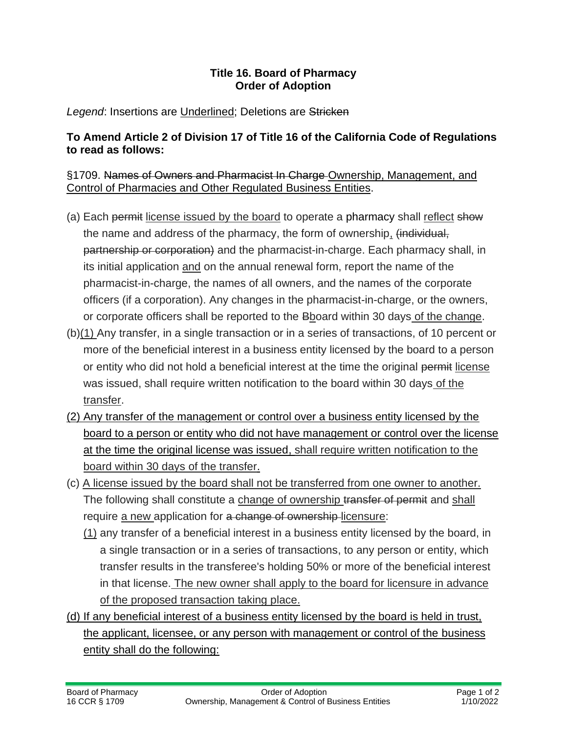## **Title 16. Board of Pharmacy Order of Adoption**

## Legend: Insertions are Underlined; Deletions are Stricken

## **To Amend Article 2 of Division 17 of Title 16 of the California Code of Regulations to read as follows:**

## §1709. Names of Owners and Pharmacist In Charge Ownership, Management, and Control of Pharmacies and Other Regulated Business Entities.

- (a) Each permit license issued by the board to operate a pharmacy shall reflect show the name and address of the pharmacy, the form of ownership, (individual, partnership or corporation) and the pharmacist-in-charge. Each pharmacy shall, in its initial application and on the annual renewal form, report the name of the pharmacist-in-charge, the names of all owners, and the names of the corporate officers (if a corporation). Any changes in the pharmacist-in-charge, or the owners, or corporate officers shall be reported to the Bboard within 30 days of the change.
- $(b)(1)$  Any transfer, in a single transaction or in a series of transactions, of 10 percent or more of the beneficial interest in a business entity licensed by the board to a person or entity who did not hold a beneficial interest at the time the original permit license was issued, shall require written notification to the board within 30 days of the transfer.
- (2) Any transfer of the management or control over a business entity licensed by the board to a person or entity who did not have management or control over the license at the time the original license was issued, shall require written notification to the board within 30 days of the transfer.
- (c) A license issued by the board shall not be transferred from one owner to another. The following shall constitute a change of ownership transfer of permit and shall require a new application for a change of ownership licensure:
	- (1) any transfer of a beneficial interest in a business entity licensed by the board, in a single transaction or in a series of transactions, to any person or entity, which transfer results in the transferee's holding 50% or more of the beneficial interest in that license. The new owner shall apply to the board for licensure in advance of the proposed transaction taking place.
- (d) If any beneficial interest of a business entity licensed by the board is held in trust, the applicant, licensee, or any person with management or control of the business entity shall do the following: